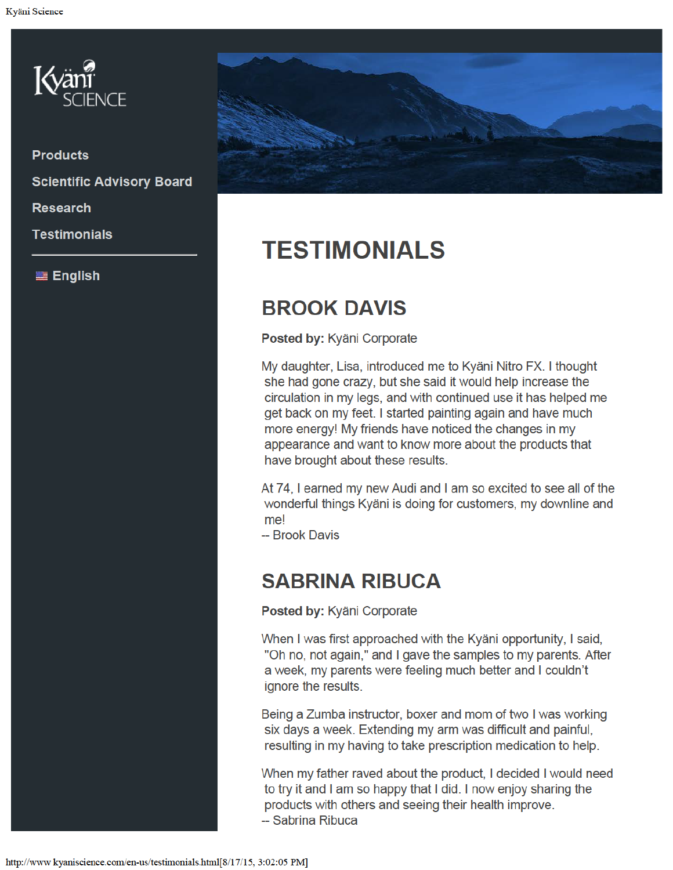

**Products Scientific Advisory Board Research Testimonials** 

**■ English** 



# **TESTIMONIALS**

## **BROOK DAVIS**

#### Posted by: Kyäni Corporate

My daughter, Lisa, introduced me to Kyäni Nitro FX. I thought she had gone crazy, but she said it would help increase the circulation in my legs, and with continued use it has helped me get back on my feet. I started painting again and have much more energy! My friends have noticed the changes in my appearance and want to know more about the products that have brought about these results.

At 74, I earned my new Audi and I am so excited to see all of the wonderful things Kyäni is doing for customers, my downline and mel

-- Brook Davis

### **SABRINA RIBUCA**

Posted by: Kyäni Corporate

When I was first approached with the Kyäni opportunity, I said, "Oh no, not again," and I gave the samples to my parents. After a week, my parents were feeling much better and I couldn't ignore the results.

Being a Zumba instructor, boxer and mom of two I was working six days a week. Extending my arm was difficult and painful, resulting in my having to take prescription medication to help.

When my father raved about the product, I decided I would need to try it and I am so happy that I did. I now enjoy sharing the products with others and seeing their health improve. -- Sabrina Ribuca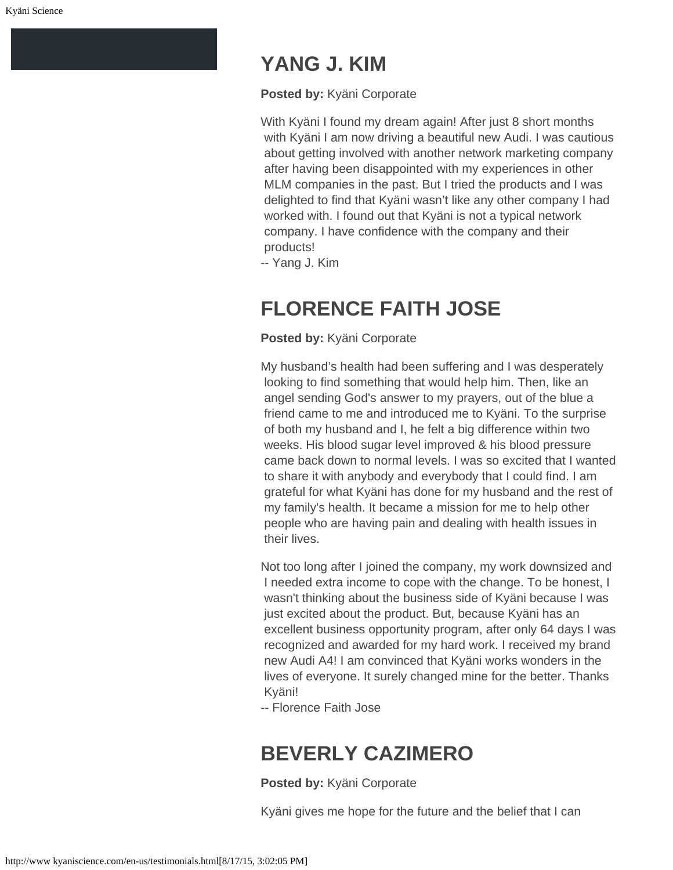#### **YANG J. KIM**

**Posted by:** Kyäni Corporate

With Kyäni I found my dream again! After just 8 short months with Kyäni I am now driving a beautiful new Audi. I was cautious about getting involved with another network marketing company after having been disappointed with my experiences in other MLM companies in the past. But I tried the products and I was delighted to find that Kyäni wasn't like any other company I had worked with. I found out that Kyäni is not a typical network company. I have confidence with the company and their products!

-- Yang J. Kim

### **FLORENCE FAITH JOSE**

#### **Posted by:** Kyäni Corporate

My husband's health had been suffering and I was desperately looking to find something that would help him. Then, like an angel sending God's answer to my prayers, out of the blue a friend came to me and introduced me to Kyäni. To the surprise of both my husband and I, he felt a big difference within two weeks. His blood sugar level improved & his blood pressure came back down to normal levels. I was so excited that I wanted to share it with anybody and everybody that I could find. I am grateful for what Kyäni has done for my husband and the rest of my family's health. It became a mission for me to help other people who are having pain and dealing with health issues in their lives.

Not too long after I joined the company, my work downsized and I needed extra income to cope with the change. To be honest, I wasn't thinking about the business side of Kyäni because I was just excited about the product. But, because Kyäni has an excellent business opportunity program, after only 64 days I was recognized and awarded for my hard work. I received my brand new Audi A4! I am convinced that Kyäni works wonders in the lives of everyone. It surely changed mine for the better. Thanks Kyäni!

-- Florence Faith Jose

### **BEVERLY CAZIMERO**

**Posted by:** Kyäni Corporate

Kyäni gives me hope for the future and the belief that I can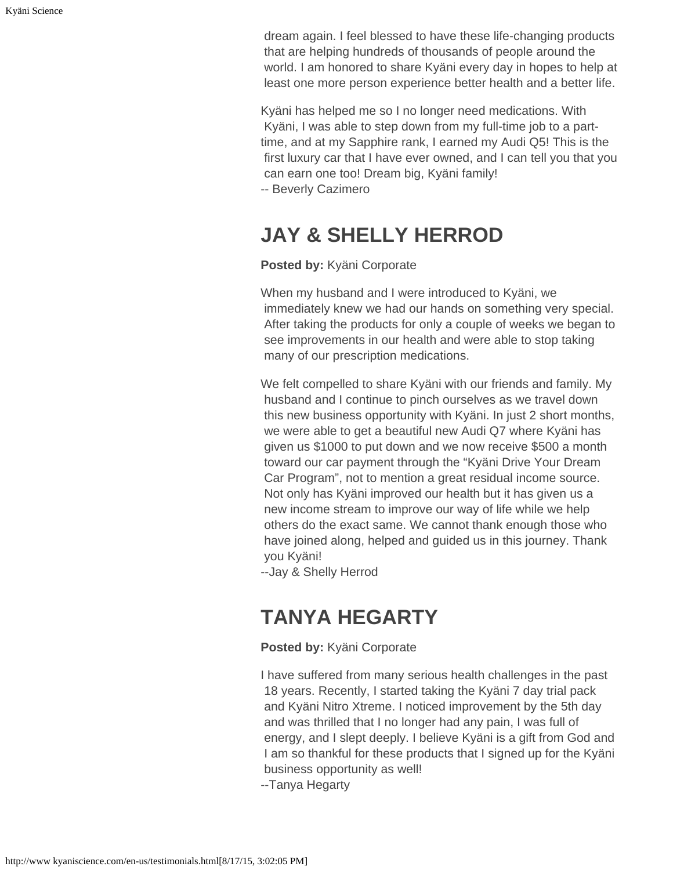dream again. I feel blessed to have these life-changing products that are helping hundreds of thousands of people around the world. I am honored to share Kyäni every day in hopes to help at least one more person experience better health and a better life.

Kyäni has helped me so I no longer need medications. With Kyäni, I was able to step down from my full-time job to a parttime, and at my Sapphire rank, I earned my Audi Q5! This is the first luxury car that I have ever owned, and I can tell you that you can earn one too! Dream big, Kyäni family! -- Beverly Cazimero

### **JAY & SHELLY HERROD**

#### **Posted by:** Kyäni Corporate

When my husband and I were introduced to Kyäni, we immediately knew we had our hands on something very special. After taking the products for only a couple of weeks we began to see improvements in our health and were able to stop taking many of our prescription medications.

We felt compelled to share Kyäni with our friends and family. My husband and I continue to pinch ourselves as we travel down this new business opportunity with Kyäni. In just 2 short months, we were able to get a beautiful new Audi Q7 where Kyäni has given us \$1000 to put down and we now receive \$500 a month toward our car payment through the "Kyäni Drive Your Dream Car Program", not to mention a great residual income source. Not only has Kyäni improved our health but it has given us a new income stream to improve our way of life while we help others do the exact same. We cannot thank enough those who have joined along, helped and guided us in this journey. Thank you Kyäni!

--Jay & Shelly Herrod

## **TANYA HEGARTY**

#### **Posted by:** Kyäni Corporate

I have suffered from many serious health challenges in the past 18 years. Recently, I started taking the Kyäni 7 day trial pack and Kyäni Nitro Xtreme. I noticed improvement by the 5th day and was thrilled that I no longer had any pain, I was full of energy, and I slept deeply. I believe Kyäni is a gift from God and I am so thankful for these products that I signed up for the Kyäni business opportunity as well! --Tanya Hegarty

http://www kyaniscience.com/en-us/testimonials.html[8/17/15, 3:02:05 PM]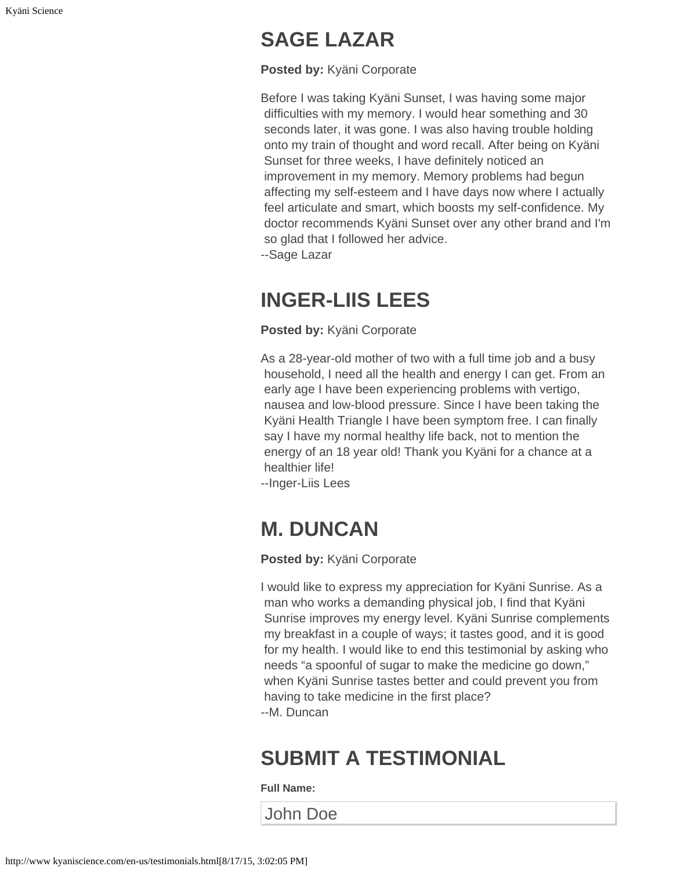## **SAGE LAZAR**

**Posted by:** Kyäni Corporate

Before I was taking Kyäni Sunset, I was having some major difficulties with my memory. I would hear something and 30 seconds later, it was gone. I was also having trouble holding onto my train of thought and word recall. After being on Kyäni Sunset for three weeks, I have definitely noticed an improvement in my memory. Memory problems had begun affecting my self-esteem and I have days now where I actually feel articulate and smart, which boosts my self-confidence. My doctor recommends Kyäni Sunset over any other brand and I'm so glad that I followed her advice.

--Sage Lazar

## **INGER-LIIS LEES**

**Posted by:** Kyäni Corporate

As a 28-year-old mother of two with a full time job and a busy household, I need all the health and energy I can get. From an early age I have been experiencing problems with vertigo, nausea and low-blood pressure. Since I have been taking the Kyäni Health Triangle I have been symptom free. I can finally say I have my normal healthy life back, not to mention the energy of an 18 year old! Thank you Kyäni for a chance at a healthier life!

--Inger-Liis Lees

## **M. DUNCAN**

#### **Posted by:** Kyäni Corporate

I would like to express my appreciation for Kyäni Sunrise. As a man who works a demanding physical job, I find that Kyäni Sunrise improves my energy level. Kyäni Sunrise complements my breakfast in a couple of ways; it tastes good, and it is good for my health. I would like to end this testimonial by asking who needs "a spoonful of sugar to make the medicine go down," when Kyäni Sunrise tastes better and could prevent you from having to take medicine in the first place? --M. Duncan

## **SUBMIT A TESTIMONIAL**

**Full Name:**

John Doe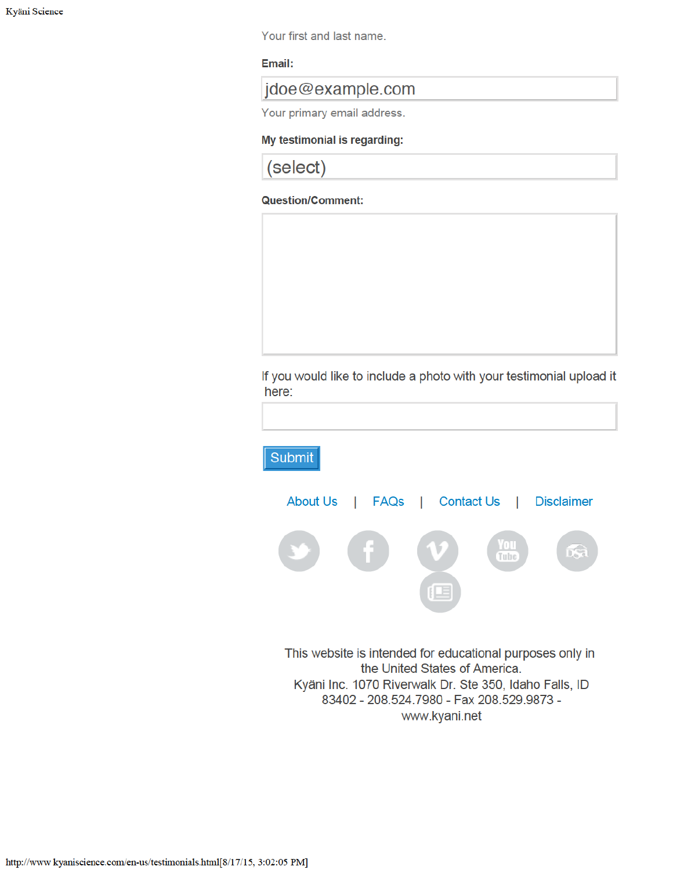Your first and last name.

#### Email:

jdoe@example.com

Your primary email address.

#### My testimonial is regarding:



#### **Question/Comment:**



If you would like to include a photo with your testimonial upload it here:



This website is intended for educational purposes only in the United States of America. Kyäni Inc. 1070 Riverwalk Dr. Ste 350, Idaho Falls, ID 83402 - 208.524.7980 - Fax 208.529.9873 www.kyani.net